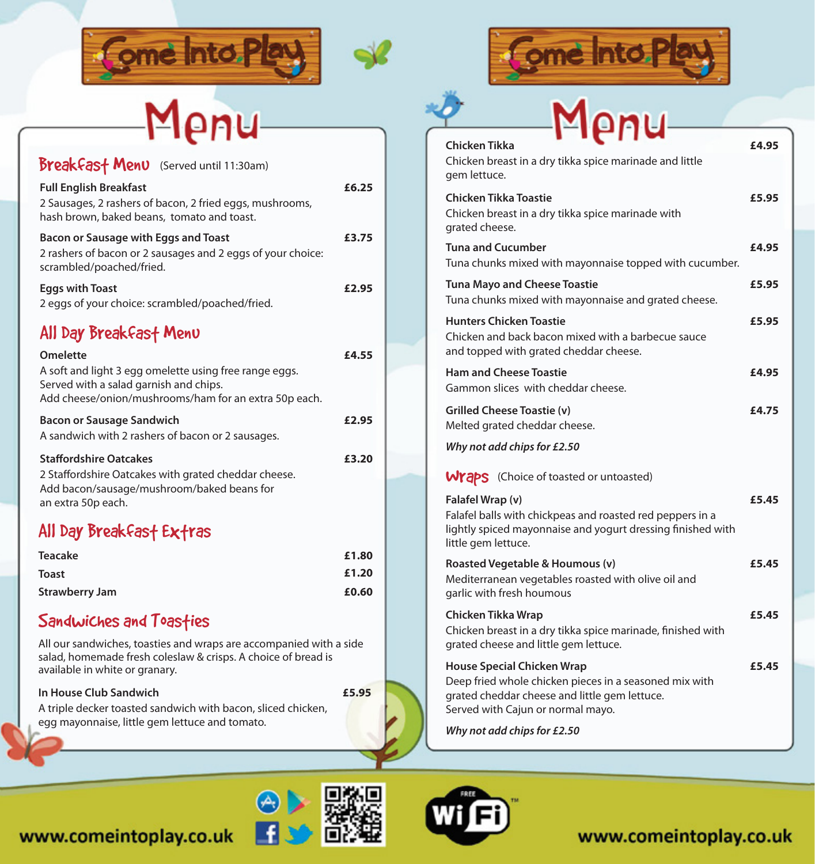



### Breakfast Menu (Served until 11:30am) All Day Breakfast Menu **Full English Breakfast £6.25** 2 Sausages, 2 rashers of bacon, 2 fried eggs, mushrooms, hash brown, baked beans, tomato and toast. **Bacon or Sausage with Eggs and Toast £3.75** 2 rashers of bacon or 2 sausages and 2 eggs of your choice: scrambled/poached/fried. **Eggs with Toast £2.95** 2 eggs of your choice: scrambled/poached/fried. **Omelette £4.55** A soft and light 3 egg omelette using free range eggs. Served with a salad garnish and chips. Add cheese/onion/mushrooms/ham for an extra 50p each. **Bacon or Sausage Sandwich £2.95** A sandwich with 2 rashers of bacon or 2 sausages. **Staffordshire Oatcakes E3.20** 2 Staffordshire Oatcakes with grated cheddar cheese. Add bacon/sausage/mushroom/baked beans for an extra 50p each.

# All Day Breakfast Extras

| <b>Teacake</b>        | £1.80 |
|-----------------------|-------|
| <b>Toast</b>          | £1.20 |
| <b>Strawberry Jam</b> | £0.60 |

### Sandwiches and Toasties

All our sandwiches, toasties and wraps are accompanied with a side salad, homemade fresh coleslaw & crisps. A choice of bread is available in white or granary.

#### **In House Club Sandwich £5.95**

A triple decker toasted sandwich with bacon, sliced chicken, egg mayonnaise, little gem lettuce and tomato.



| Menu                                                                                                                                                                              |       |
|-----------------------------------------------------------------------------------------------------------------------------------------------------------------------------------|-------|
| Chicken Tikka<br>Chicken breast in a dry tikka spice marinade and little<br>gem lettuce.                                                                                          | £4.95 |
| <b>Chicken Tikka Toastie</b><br>Chicken breast in a dry tikka spice marinade with<br>grated cheese.                                                                               | £5.95 |
| <b>Tuna and Cucumber</b><br>Tuna chunks mixed with mayonnaise topped with cucumber.                                                                                               | £4.95 |
| <b>Tuna Mayo and Cheese Toastie</b><br>Tuna chunks mixed with mayonnaise and grated cheese.                                                                                       | £5.95 |
| <b>Hunters Chicken Toastie</b><br>Chicken and back bacon mixed with a barbecue sauce<br>and topped with grated cheddar cheese.                                                    | £5.95 |
| <b>Ham and Cheese Toastie</b><br>Gammon slices with cheddar cheese.                                                                                                               | £4.95 |
| <b>Grilled Cheese Toastie (v)</b><br>Melted grated cheddar cheese.                                                                                                                | £4.75 |
| Why not add chips for £2.50                                                                                                                                                       |       |
| <b>Wraps</b> (Choice of toasted or untoasted)                                                                                                                                     |       |
| Falafel Wrap (v)<br>Falafel balls with chickpeas and roasted red peppers in a<br>lightly spiced mayonnaise and yogurt dressing finished with<br>little gem lettuce.               | £5.45 |
| Roasted Vegetable & Houmous (v)<br>Mediterranean vegetables roasted with olive oil and<br>garlic with fresh houmous                                                               | £5.45 |
| Chicken Tikka Wrap<br>Chicken breast in a dry tikka spice marinade, finished with<br>grated cheese and little gem lettuce.                                                        | £5.45 |
| <b>House Special Chicken Wrap</b><br>Deep fried whole chicken pieces in a seasoned mix with<br>grated cheddar cheese and little gem lettuce.<br>Served with Cajun or normal mayo. | £5.45 |
| Why not add chins for £2.50                                                                                                                                                       |       |

*Why not add chips for £2.50*

# www.comeintoplay.co.uk





## www.comeintoplay.co.uk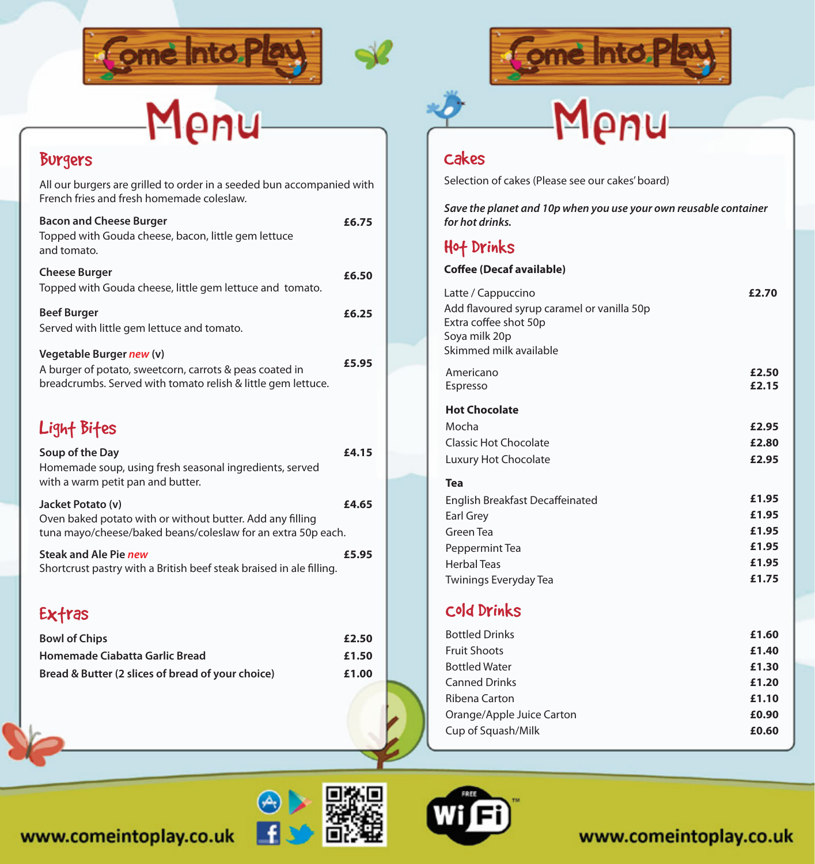



# Menu

## Burgers

| All our burgers are grilled to order in a seeded bun accompanied with<br>French fries and fresh homemade coleslaw.                                  |       |
|-----------------------------------------------------------------------------------------------------------------------------------------------------|-------|
| <b>Bacon and Cheese Burger</b><br>Topped with Gouda cheese, bacon, little gem lettuce<br>and tomato.                                                | £6.75 |
| <b>Cheese Burger</b><br>Topped with Gouda cheese, little gem lettuce and tomato.                                                                    | £6.50 |
| <b>Beef Burger</b><br>Served with little gem lettuce and tomato.                                                                                    | £6.25 |
| Vegetable Burger new (v)<br>A burger of potato, sweetcorn, carrots & peas coated in<br>breadcrumbs. Served with tomato relish & little gem lettuce. | £5.95 |
| Light Bites                                                                                                                                         |       |
| Soup of the Day<br>Homemade soup, using fresh seasonal ingredients, served<br>with a warm petit pan and butter.                                     | £4.15 |
| Jacket Potato (v)<br>Oven baked potato with or without butter. Add any filling<br>tuna mayo/cheese/baked beans/coleslaw for an extra 50p each.      | £4.65 |
| Steak and Ale Pie new<br>Shortcrust pastry with a British beef steak braised in ale filling.                                                        | £5.95 |
| Exfras                                                                                                                                              |       |
| <b>Bowl of Chips</b>                                                                                                                                | £2.50 |
| Homemade Ciabatta Garlic Bread                                                                                                                      | £1.50 |
| Bread & Butter (2 slices of bread of your choice)                                                                                                   | £1.00 |
|                                                                                                                                                     |       |



# Menu

### Cakes

Selection of cakes (Please see our cakes' board)

*Save the planet and 10p when you use your own reusable container*  $for hot drinks.$ 

## Hot Drinks

#### **Coffee (Decaf available)**

| Latte / Cappuccino<br>Add flavoured syrup caramel or vanilla 50p<br>Extra coffee shot 50p<br>Soya milk 20p<br>Skimmed milk available | £2.70          |
|--------------------------------------------------------------------------------------------------------------------------------------|----------------|
| Americano<br>Espresso                                                                                                                | £2.50<br>£2.15 |
| <b>Hot Chocolate</b>                                                                                                                 |                |
| Mocha                                                                                                                                | £2.95          |
| Classic Hot Chocolate                                                                                                                | £2.80          |
| Luxury Hot Chocolate                                                                                                                 | £2.95          |
| Tea                                                                                                                                  |                |
| English Breakfast Decaffeinated                                                                                                      | £1.95          |
| Earl Grey                                                                                                                            | £1.95          |
| Green Tea                                                                                                                            | £1.95          |
| Peppermint Tea                                                                                                                       | £1.95          |
| <b>Herbal Teas</b>                                                                                                                   | £1.95          |
| Twinings Everyday Tea                                                                                                                | £1.75          |
| Cold Drinks                                                                                                                          |                |
| <b>Bottled Drinks</b>                                                                                                                | £1.60          |

| <b>Bottled Drinks</b>     | £1.60 |
|---------------------------|-------|
| <b>Fruit Shoots</b>       | £1.40 |
| <b>Bottled Water</b>      | £1.30 |
| <b>Canned Drinks</b>      | £1.20 |
| Ribena Carton             | £1.10 |
| Orange/Apple Juice Carton | £0.90 |
| Cup of Squash/Milk        | £0.60 |
|                           |       |





www.comeintoplay.co.uk